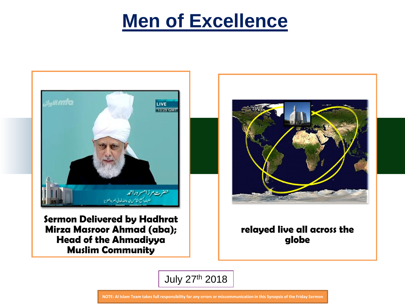# **Men of Excellence**



**Sermon Delivered by Hadhrat Mirza Masroor Ahmad (aba); Head of the Ahmadiyya Muslim Community** 



#### **relayed live all across the globe**

July 27th 2018

**NOTE: Al Islam Team takes full responsibility for any errors or miscommunication in this Synopsis of the Friday Sermon**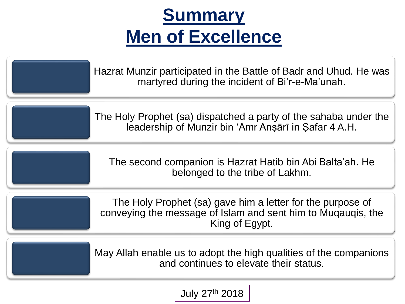# **Summary Men of Excellence**

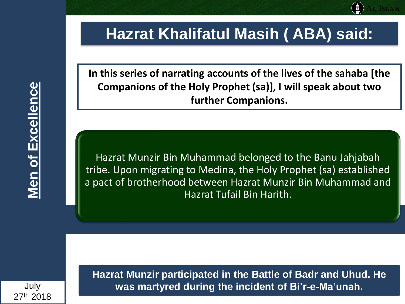#### **Hazrat Khalifatul Masih ( ABA) said:**

**In this series of narrating accounts of the lives of the sahaba [the Companions of the Holy Prophet (sa)], I will speak about two further Companions.**

Hazrat Munzir Bin Muhammad belonged to the Banu Jahjabah tribe. Upon migrating to Medina, the Holy Prophet (sa) established a pact of brotherhood between Hazrat Munzir Bin Muhammad and Hazrat Tufail Bin Harith.

**Hazrat Munzir participated in the Battle of Badr and Uhud. He was martyred during the incident of Bi'r-e-Ma'unah.**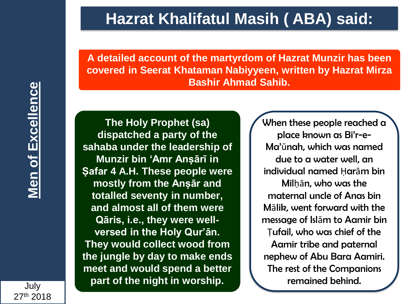## **Hazrat Khalifatul Masih ( ABA) said:**

**A detailed account of the martyrdom of Hazrat Munzir has been covered in Seerat Khataman Nabiyyeen, written by Hazrat Mirza Bashir Ahmad Sahib.**

**The Holy Prophet (sa) dispatched a party of the sahaba under the leadership of Munzir bin 'Amr Anṣārī in Ṣafar 4 A.H. These people were mostly from the Anṣār and totalled seventy in number, and almost all of them were Qāris, i.e., they were wellversed in the Holy Qur'ān. They would collect wood from the jungle by day to make ends meet and would spend a better part of the night in worship.**

When these people reached a place known as Bi'r-e-Ma'ūnah, which was named due to a water well, an individual named Ḥarām bin Milḥān, who was the maternal uncle of Anas bin Mālik, went forward with the message of Islām to Aamir bin Ṭufail, who was chief of the Aamir tribe and paternal nephew of Abu Bara Aamiri. The rest of the Companions remained behind.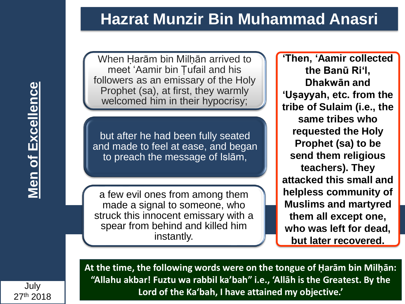### **Hazrat Munzir Bin Muhammad Anasri**

**Men of Excellence Men of Excellence**

When Harām bin Milhān arrived to meet 'Aamir bin Ṭufail and his followers as an emissary of the Holy Prophet (sa), at first, they warmly welcomed him in their hypocrisy;

but after he had been fully seated and made to feel at ease, and began to preach the message of Islām,

a few evil ones from among them made a signal to someone, who struck this innocent emissary with a spear from behind and killed him instantly.

**'Then, 'Aamir collected the Banū Ri'l, Dhakwān and 'Uṣayyah, etc. from the tribe of Sulaim (i.e., the same tribes who requested the Holy Prophet (sa) to be send them religious teachers). They attacked this small and helpless community of Muslims and martyred them all except one, who was left for dead, but later recovered.**

**At the time, the following words were on the tongue of Ḥarām bin Milḥān: "Allahu akbar! Fuztu wa rabbil ka'bah" i.e., 'Allāh is the Greatest. By the Lord of the Ka'bah, I have attained my objective.'**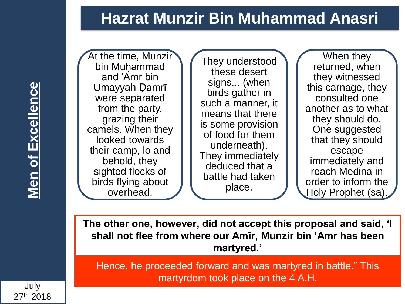# **Hazrat Munzir Bin Muhammad Anasri**

At the time, Munzir bin Muhammad and 'Amr bin Umayyah Ḍamrī were separated from the party, grazing their camels. When they looked towards their camp, lo and behold, they sighted flocks of birds flying about overhead.

They understood these desert signs... (when birds gather in such a manner, it means that there is some provision of food for them underneath). They immediately deduced that a battle had taken place.

When they returned, when they witnessed this carnage, they consulted one another as to what they should do. One suggested that they should escape immediately and reach Medina in order to inform the Holy Prophet (sa).

**The other one, however, did not accept this proposal and said, 'I shall not flee from where our Amīr, Munzir bin 'Amr has been martyred.'**

Hence, he proceeded forward and was martyred in battle." This martyrdom took place on the 4 A.H.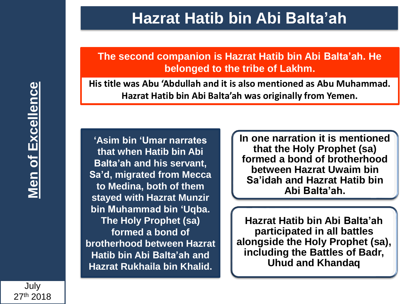**The second companion is Hazrat Hatib bin Abi Balta'ah. He belonged to the tribe of Lakhm.**

**His title was Abu 'Abdullah and it is also mentioned as Abu Muhammad. Hazrat Hatib bin Abi Balta'ah was originally from Yemen.** 

**'Asim bin 'Umar narrates that when Hatib bin Abi Balta'ah and his servant, Sa'd, migrated from Mecca to Medina, both of them stayed with Hazrat Munzir bin Muhammad bin 'Uqba. The Holy Prophet (sa) formed a bond of brotherhood between Hazrat Hatib bin Abi Balta'ah and Hazrat Rukhaila bin Khalid.** 

**In one narration it is mentioned that the Holy Prophet (sa) formed a bond of brotherhood between Hazrat Uwaim bin Sa'idah and Hazrat Hatib bin Abi Balta'ah.** 

**Hazrat Hatib bin Abi Balta'ah participated in all battles alongside the Holy Prophet (sa), including the Battles of Badr, Uhud and Khandaq**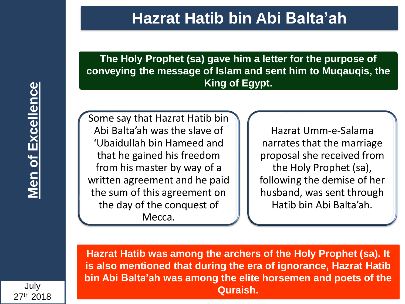**The Holy Prophet (sa) gave him a letter for the purpose of conveying the message of Islam and sent him to Muqauqis, the King of Egypt.**

Some say that Hazrat Hatib bin Abi Balta'ah was the slave of 'Ubaidullah bin Hameed and that he gained his freedom from his master by way of a written agreement and he paid the sum of this agreement on the day of the conquest of Mecca.

Hazrat Umm-e-Salama narrates that the marriage proposal she received from the Holy Prophet (sa), following the demise of her husband, was sent through Hatib bin Abi Balta'ah.

**Hazrat Hatib was among the archers of the Holy Prophet (sa). It is also mentioned that during the era of ignorance, Hazrat Hatib bin Abi Balta'ah was among the elite horsemen and poets of the Quraish.**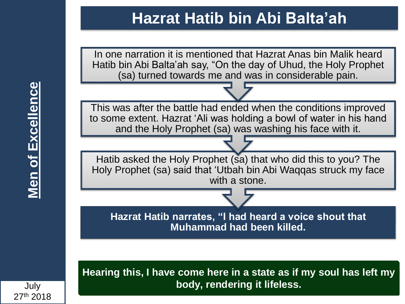In one narration it is mentioned that Hazrat Anas bin Malik heard Hatib bin Abi Balta'ah say, "On the day of Uhud, the Holy Prophet (sa) turned towards me and was in considerable pain.

This was after the battle had ended when the conditions improved to some extent. Hazrat 'Ali was holding a bowl of water in his hand and the Holy Prophet (sa) was washing his face with it.

Hatib asked the Holy Prophet (sa) that who did this to you? The Holy Prophet (sa) said that 'Utbah bin Abi Waqqas struck my face with a stone.

**Hazrat Hatib narrates, "I had heard a voice shout that Muhammad had been killed.** 

**Hearing this, I have come here in a state as if my soul has left my body, rendering it lifeless.**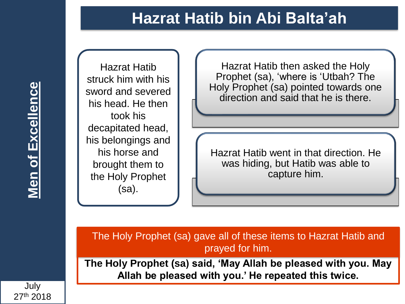

Hazrat Hatib struck him with his sword and severed his head. He then took his decapitated head, his belongings and his horse and brought them to the Holy Prophet (sa).

Hazrat Hatib then asked the Holy Prophet (sa), 'where is 'Utbah? The Holy Prophet (sa) pointed towards one direction and said that he is there.

Hazrat Hatib went in that direction. He was hiding, but Hatib was able to capture him.

The Holy Prophet (sa) gave all of these items to Hazrat Hatib and prayed for him.

**The Holy Prophet (sa) said, 'May Allah be pleased with you. May Allah be pleased with you.' He repeated this twice.**